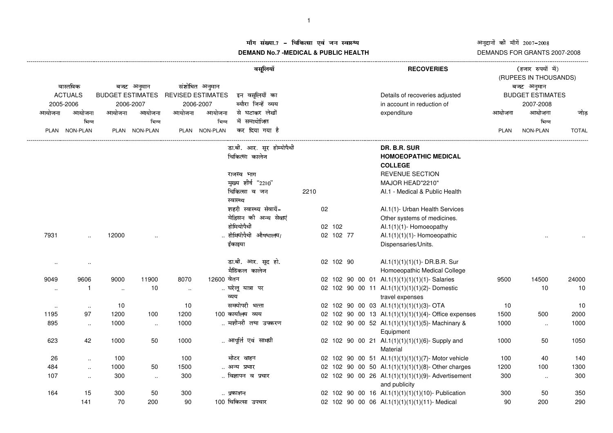## ग संख्या.7 – चिकित्सा एवं जन स्वास्थ्य<br>IAND N- 7 MEDIOAL 8 DUDLIO UEALTIL **DEMAND No.7 -MEDICAL & PUBLIC HEALTH**

## अनुदानों की माँगें 2007–2008<br>DEMANDS FOR GRANTS 2007-2008

|                                         |                        |            |                                      | वसूलियॉ        |                          |                                      |      | <b>RECOVERIES</b> | (हजार रुपयों में)<br>(RUPEES IN THOUSANDS) |                                                     |                         |           |              |  |
|-----------------------------------------|------------------------|------------|--------------------------------------|----------------|--------------------------|--------------------------------------|------|-------------------|--------------------------------------------|-----------------------------------------------------|-------------------------|-----------|--------------|--|
| वास्तविक<br><b>ACTUALS</b><br>2005-2006 |                        | बजट अनुमान |                                      | संशोधित अनुमान |                          |                                      |      |                   |                                            |                                                     | बजट अनुमान              |           |              |  |
|                                         |                        |            | <b>BUDGET ESTIMATES</b><br>2006-2007 |                | <b>REVISED ESTIMATES</b> | इन वसूलियों का                       |      |                   |                                            | Details of recoveries adjusted                      | <b>BUDGET ESTIMATES</b> |           |              |  |
|                                         |                        |            |                                      |                | 2006-2007                | ब्यौरा जिन्हें व्यय                  |      |                   |                                            | in account in reduction of                          |                         | 2007-2008 |              |  |
| आयोजना                                  | आयोजना                 | आयोजना     | आयोजना                               | आयोजना         | आयोजना                   | से घटाकर लेखों                       |      |                   |                                            | expenditure                                         | आयोजना                  | आयोजना    | जोड़         |  |
|                                         | भिन्न                  |            | भिन्न                                |                | भिन्न                    | में समायोजित                         |      |                   |                                            |                                                     |                         | भिन्न     |              |  |
|                                         | PLAN NON-PLAN          |            | PLAN NON-PLAN                        |                | PLAN NON-PLAN            | कर दिया गया है                       |      |                   |                                            |                                                     | PLAN                    | NON-PLAN  | <b>TOTAL</b> |  |
|                                         |                        |            |                                      |                |                          | डा.बी. आर. सूर होम्योपैथी            |      |                   |                                            | DR. B.R. SUR                                        |                         |           |              |  |
|                                         |                        |            |                                      |                |                          | चिकित्सा कालेज                       |      |                   |                                            | <b>HOMOEOPATHIC MEDICAL</b>                         |                         |           |              |  |
|                                         |                        |            |                                      |                |                          |                                      |      |                   |                                            | <b>COLLEGE</b>                                      |                         |           |              |  |
|                                         |                        |            |                                      |                |                          | राजस्व भाग                           |      |                   |                                            | <b>REVENUE SECTION</b>                              |                         |           |              |  |
|                                         |                        |            |                                      |                |                          | मुख्य शीर्ष "2210"                   |      |                   |                                            | MAJOR HEAD"2210"                                    |                         |           |              |  |
|                                         |                        |            |                                      |                |                          | चिकित्सा व जन                        | 2210 |                   |                                            | Al.1 - Medical & Public Health                      |                         |           |              |  |
|                                         |                        |            |                                      |                |                          | स्वास्थ्य<br>शहरी स्वास्थ्य सेवायें- |      | 02                |                                            | Al.1(1)- Urban Health Services                      |                         |           |              |  |
|                                         |                        |            |                                      |                |                          | मेडिसन की अन्य सेवाएं                |      |                   |                                            | Other systems of medicines.                         |                         |           |              |  |
|                                         |                        |            |                                      |                |                          | होमियोपैथी                           |      | 02 102            |                                            | Al.1(1)(1)-Homoeopathy                              |                         |           |              |  |
| 7931                                    |                        | 12000      |                                      |                |                          | होमियोपैथी औषधालय/                   |      | 02 102 77         |                                            | Al.1 $(1)(1)(1)$ - Homoeopathic                     |                         |           |              |  |
|                                         |                        |            |                                      |                |                          | ईकाइया                               |      |                   |                                            | Dispensaries/Units.                                 |                         |           |              |  |
|                                         |                        |            |                                      |                |                          | डा.बी. आर. सूद हो.                   |      | 02 102 90         |                                            | Al.1(1)(1)(1)(1)- DR.B.R. Sur                       |                         |           |              |  |
|                                         |                        |            |                                      |                |                          | मैडिकल कालेज                         |      |                   |                                            | Homoeopathic Medical College                        |                         |           |              |  |
| 9049                                    | 9606                   | 9000       | 11900                                | 8070           | 12600 वेतन               |                                      |      |                   |                                            | 02 102 90 00 01 Al.1(1)(1)(1)(1)(1)- Salaries       | 9500                    | 14500     | 24000        |  |
|                                         | $\mathbf{1}$<br>$\sim$ | $\sim$     | 10                                   | $\sim$         |                          | घरेलू यात्रा पर                      |      |                   |                                            | 02 102 90 00 11 Al.1(1)(1)(1)(1)(2)-Domestic        |                         | 10        | 10           |  |
|                                         |                        |            |                                      |                |                          | व्यय                                 |      |                   |                                            | travel expenses                                     |                         |           |              |  |
|                                         | $\sim$<br>$\sim$       | 10         |                                      | 10             |                          | समयोपरी भत्ता                        |      |                   |                                            | 02 102 90 00 03 Al.1(1)(1)(1)(1)(3)- OTA            | 10                      |           | 10           |  |
| 1195                                    | 97                     | 1200       | 100                                  | 1200           |                          | 100 कार्यालय व्यय                    |      |                   |                                            | 02 102 90 00 13 Al.1(1)(1)(1)(1)(4)-Office expenses | 1500                    | 500       | 2000         |  |
| 895                                     | $\ldots$               | 1000       | $\sim$                               | 1000           |                          | मशीनरी तथा उपकरण                     |      |                   |                                            | 02 102 90 00 52 Al.1(1)(1)(1)(1)(5)-Machinary &     | 1000                    | $\ddotsc$ | 1000         |  |
|                                         |                        |            |                                      |                |                          |                                      |      |                   |                                            | Equipment                                           |                         |           |              |  |
| 623                                     | 42                     | 1000       | 50                                   | 1000           |                          | आपूर्ति एवं सामग्री                  |      |                   |                                            | 02 102 90 00 21 Al.1(1)(1)(1)(1)(6)- Supply and     | 1000                    | 50        | 1050         |  |
|                                         |                        |            |                                      |                |                          |                                      |      |                   |                                            | Material                                            |                         |           |              |  |
| 26                                      | $\ddotsc$              | 100        |                                      | 100            |                          | मोटर वाहन                            |      |                   |                                            | 02 102 90 00 51 Al.1(1)(1)(1)(1)(7)-Motor vehicle   | 100                     | 40        | 140          |  |
| 484                                     | $\ddot{\phantom{a}}$   | 1000       | 50                                   | 1500           |                          | अन्य प्रभार                          |      |                   |                                            | 02 102 90 00 50 Al.1(1)(1)(1)(1)(8)- Other charges  | 1200                    | 100       | 1300         |  |
| 107                                     | $\ddotsc$              | 300        | $\ldots$                             | 300            |                          | विज्ञापन व प्रचार                    |      |                   |                                            | 02 102 90 00 26 Al.1(1)(1)(1)(1)(9)- Advertisement  | 300                     | $\ldots$  | 300          |  |
|                                         |                        |            |                                      |                |                          |                                      |      |                   |                                            | and publicity                                       |                         |           |              |  |
| 164                                     | 15                     | 300        | 50                                   | 300            |                          | प्रकाशन                              |      |                   |                                            | 02 102 90 00 16 Al.1(1)(1)(1)(1)(10)- Publication   | 300                     | 50        | 350          |  |
|                                         | 141                    | 70         | 200                                  | 90             |                          | 100 चिकित्सा उपचार                   |      |                   |                                            | 02 102 90 00 06 Al.1(1)(1)(1)(1)(11)- Medical       | 90                      | 200       | 290          |  |